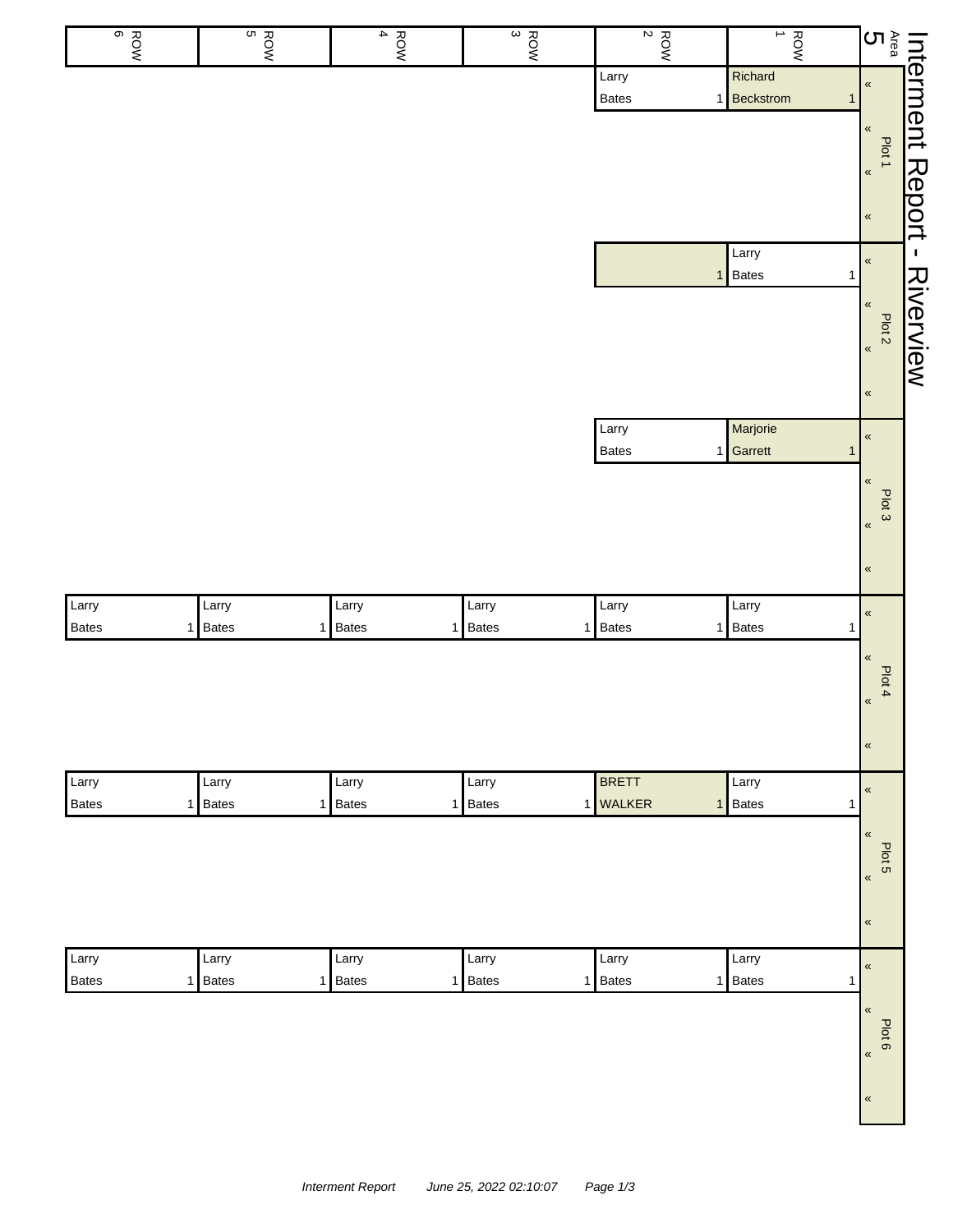| ROW<br>BOW   | ROW<br>BOW | $\frac{R}{4}$                | $\frac{R_{\text{QNN}}}{3}$   | $\frac{R}{2}$  | $\frac{1}{1}$          | יֱ<br>פּ                                           |
|--------------|------------|------------------------------|------------------------------|----------------|------------------------|----------------------------------------------------|
|              |            |                              |                              | Larry<br>Bates | Richard<br>1 Beckstrom | Interment Report<br>$\pmb{\kappa}$<br>$\mathbf{1}$ |
|              |            |                              |                              |                |                        | $\pmb{\ll}$<br>Plot 1                              |
|              |            |                              |                              |                |                        | $\pmb{\alpha}$                                     |
|              |            |                              |                              |                |                        | $\pmb{\ll}$                                        |
|              |            |                              |                              |                | Larry                  | $\mathbf{I}$<br>$\pmb{\kappa}$                     |
|              |            |                              |                              |                | Bates<br>1             | $\mathbf{1}$<br>$\pmb{\ll}$                        |
|              |            |                              |                              |                |                        | Riverview<br>Plot <sub>2</sub><br>$\pmb{\alpha}$   |
|              |            |                              |                              |                |                        |                                                    |
|              |            |                              |                              | Larry          | Marjorie               | $\pmb{\kappa}$                                     |
|              |            |                              |                              | <b>Bates</b>   | 1 Garrett              | $\pmb{\ll}$<br>$\mathbf{1}$                        |
|              |            |                              |                              |                |                        | $\pmb{\ll}$<br>Plot 3                              |
|              |            |                              |                              |                |                        | $\pmb{\kappa}$                                     |
|              |            |                              |                              |                |                        | $\pmb{\kappa}$                                     |
| Larry        | Larry      | Larry<br><b>Bates</b>        | Larry<br><b>Bates</b>        | Larry          | Larry                  | $\pmb{\kappa}$                                     |
| Bates        | 1 Bates    | $\mathbf{1}$                 | 1 <sup>1</sup>               | 1 Bates        | Bates<br>1             | $\mathbf 1$<br>$\pmb{\kappa}$                      |
|              |            |                              |                              |                |                        | Plot 4<br>$\pmb{\kappa}$                           |
|              |            |                              |                              |                |                        | $\pmb{\kappa}$                                     |
| Larry        | Larry      | Larry                        | Larry                        | <b>BRETT</b>   | Larry                  |                                                    |
| <b>Bates</b> | 1 Bates    | <b>Bates</b><br>$\mathbf{1}$ | <b>Bates</b><br>$\mathbf{1}$ | 1 WALKER       | Bates<br>$\mathbf{1}$  | $\pmb{\kappa}$<br>$\mathbf{1}$                     |
|              |            |                              |                              |                |                        | $\pmb{\ll}$<br>Plot 5                              |
|              |            |                              |                              |                |                        | $\pmb{\alpha}$                                     |
|              |            |                              |                              |                |                        | $\pmb{\ll}$                                        |
| Larry        | Larry      | Larry                        | Larry                        | Larry          | Larry                  | $\pmb{\kappa}$                                     |
| <b>Bates</b> | 1 Bates    | <b>Bates</b><br>$\mathbf{1}$ | 1 Bates                      | 1 Bates        | Bates<br>1             | $\overline{1}$<br>$\pmb{\mathfrak{C}}$             |
|              |            |                              |                              |                |                        | Plot 6<br>$\pmb{\alpha}$                           |
|              |            |                              |                              |                |                        |                                                    |
|              |            |                              |                              |                |                        | $\pmb{\ll}$                                        |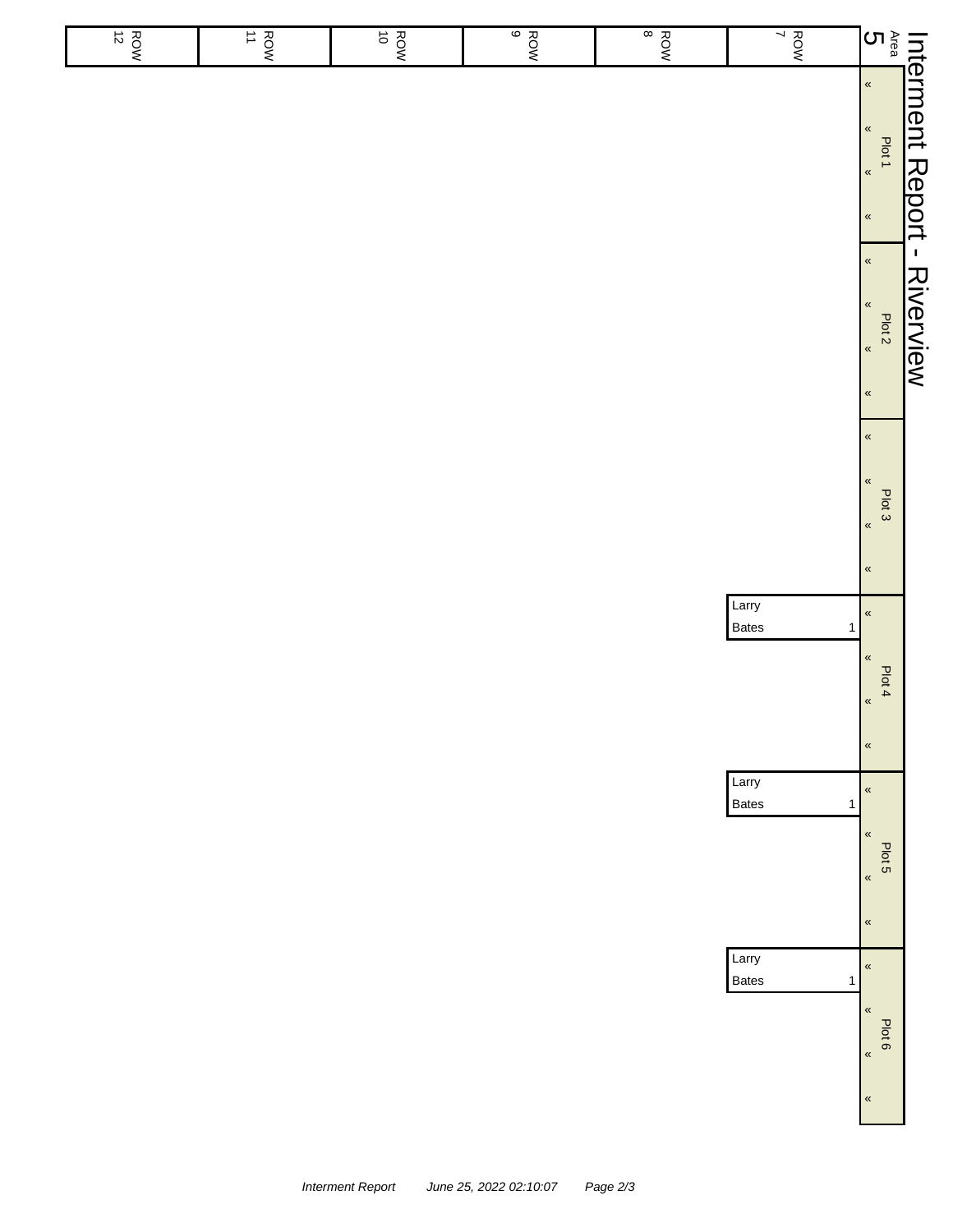|                                                                                                   | $\frac{ROW}{7}$                | $rac{8}{8}$ | $\frac{ROM}{9}$ | $rac{1}{10}$ | $\frac{ROM}{11}$ | $\vec{z}$<br>ROW |
|---------------------------------------------------------------------------------------------------|--------------------------------|-------------|-----------------|--------------|------------------|------------------|
| Interment Report - Riverview<br><sup>Area</sup> P <sup>lot 1</sup> Plot 1<br>5 Plot 1<br>5 Plot 1 |                                |             |                 |              |                  |                  |
| $\pmb{\kappa}$                                                                                    |                                |             |                 |              |                  |                  |
| $\pmb{\kappa}$<br>$\pmb{\kappa}$<br>Plot 3<br>$\pmb{\kappa}$<br>$\pmb{\kappa}$                    |                                |             |                 |              |                  |                  |
| $\pmb{\kappa}$<br>$\pmb{\kappa}$<br>Plot 4<br>$\pmb{\kappa}$                                      | Larry<br>Bates<br>$\mathbf{1}$ |             |                 |              |                  |                  |
| $\pmb{\alpha}$<br>$\pmb{\kappa}$<br>$\pmb{\kappa}$<br>Plot 5<br>$\pmb{\kappa}$                    | Larry<br>Bates<br>$\mathbf{1}$ |             |                 |              |                  |                  |
| $\pmb{\kappa}$<br>$\pmb{\kappa}$<br>$\pmb{\ll}$<br>Plot 6<br>$\pmb{\kappa}$                       | Larry<br>Bates<br>$\mathbf{1}$ |             |                 |              |                  |                  |
| $\pmb{\ll}$                                                                                       |                                |             |                 |              |                  |                  |